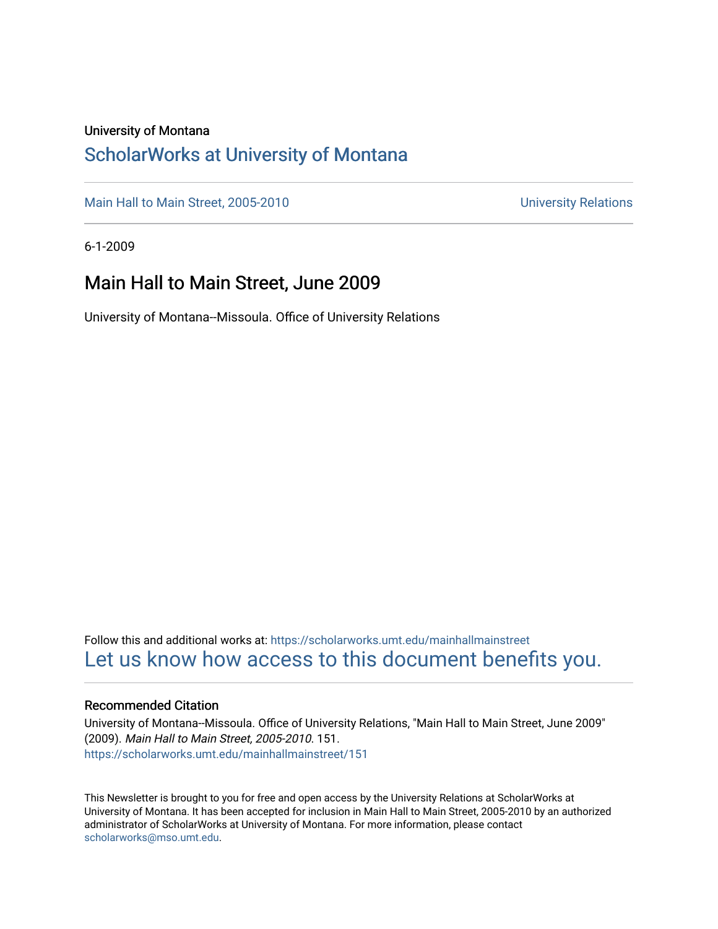### University of Montana

## [ScholarWorks at University of Montana](https://scholarworks.umt.edu/)

[Main Hall to Main Street, 2005-2010](https://scholarworks.umt.edu/mainhallmainstreet) Main Hall to Main Street, 2005-2010

6-1-2009

## Main Hall to Main Street, June 2009

University of Montana--Missoula. Office of University Relations

Follow this and additional works at: [https://scholarworks.umt.edu/mainhallmainstreet](https://scholarworks.umt.edu/mainhallmainstreet?utm_source=scholarworks.umt.edu%2Fmainhallmainstreet%2F151&utm_medium=PDF&utm_campaign=PDFCoverPages) [Let us know how access to this document benefits you.](https://goo.gl/forms/s2rGfXOLzz71qgsB2) 

### Recommended Citation

University of Montana--Missoula. Office of University Relations, "Main Hall to Main Street, June 2009" (2009). Main Hall to Main Street, 2005-2010. 151. [https://scholarworks.umt.edu/mainhallmainstreet/151](https://scholarworks.umt.edu/mainhallmainstreet/151?utm_source=scholarworks.umt.edu%2Fmainhallmainstreet%2F151&utm_medium=PDF&utm_campaign=PDFCoverPages)

This Newsletter is brought to you for free and open access by the University Relations at ScholarWorks at University of Montana. It has been accepted for inclusion in Main Hall to Main Street, 2005-2010 by an authorized administrator of ScholarWorks at University of Montana. For more information, please contact [scholarworks@mso.umt.edu.](mailto:scholarworks@mso.umt.edu)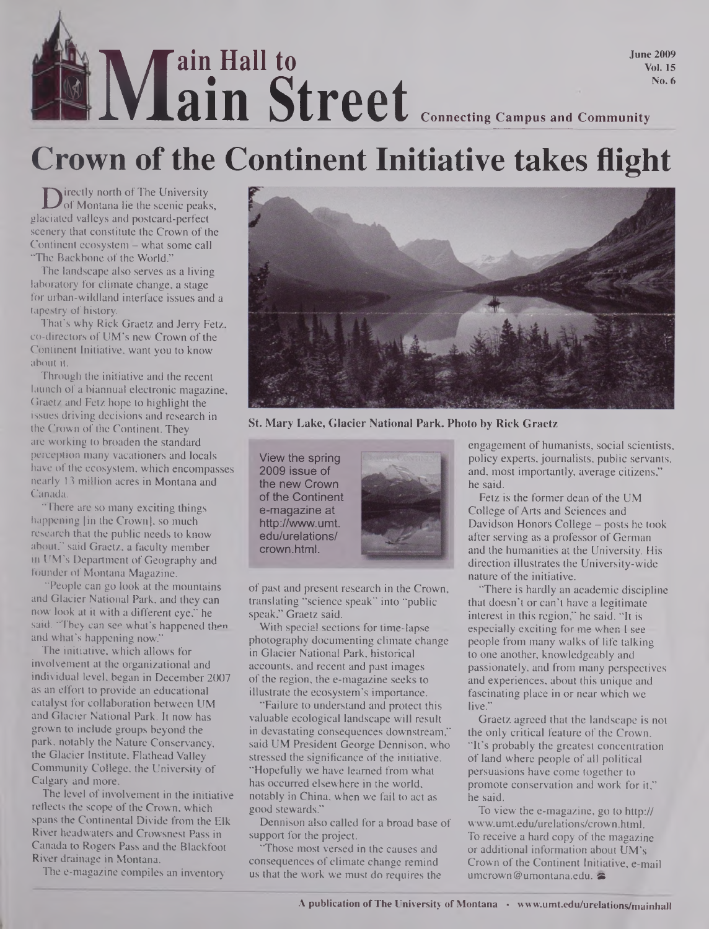## **June 2009 Vol. 15 No. 6** At **iM ain S own of the Contral ain Street Connecting Campus and Community**

# **Crown of the Continent Initiative takes flight**

Designed in Section of The University<br>
of Montana lie the scenic peak<br> **Cancel valleys and postcard-perfect** of Montana lie the scenic peaks, glaciated valleys and postcard-perfect scenery that constitute the Crown of the Continent ecosystem - what some call "The Backbone of the World."

The landscape also serves as a living laboratory for climate change, a stage for urban-wildland interface issues and a tapestry of history.

That's why Rick Graetz and Jerry Fetz, co-directors of UM's new Crown of the Continent Initiative, want you to know about it.

Through the initiative and the recent launch of a biannual electronic magazine, Graetz and Fetz hope to highlight the issues driving decisions and research in the Crown of the Continent. They are working to broaden the standard perception many vacationers and locals have of the ecosystem, which encompasses nearly 13 million acres in Montana and Canada.

"There are so many exciting things happening [in the Crown], so much research that the public needs to know about," said Graetz, a faculty member in UM's Department of Geography and founder of Montana Magazine.

"People can go look at the mountains and Glacier National Park, and they can now look at it with a different eye," he said. "They can see what's happened then and what's happening now."

The initiative, which allows for involvement at the organizational and individual level, began in December 2007 as an effort to provide an educational catalyst for collaboration between UM and Glacier National Park. It now has grown to include groups beyond the park, notably the Nature Conservancy, the Glacier Institute. Flathead Valley Community College, the University of Calgary and more.

The level of involvement in the initiative reflects the scope of the Crown, which spans the Continental Divide from the Elk River headwaters and Crowsnest Pass in Canada to Rogers Pass and the Blackfoot River drainage in Montana.

The e-magazine compiles an inventory



**St. Mary Lake, Glacier National Park. Photo by Rick Graetz**

View the spring 2009 issue of the new Crown of the Continent e-magazine at <http://www.umt>. edu/urelations/ crown.html.



of past and present research in the Crown, translating "science speak" into "public speak," Graetz said.

With special sections for time-lapse photography documenting climate change in Glacier National Park, historical accounts, and recent and past images of the region, the e-magazine seeks to illustrate the ecosystem's importance.

"Failure to understand and protect this valuable ecological landscape will result in devastating consequences downstream," said UM President George Dennison, who stressed the significance of the initiative. "Hopefully we have learned from what has occurred elsewhere in the world, notably in China, when we fail to act as good stewards."

Dennison also called for a broad base of support for the project.

"Those most versed in the causes and consequences of climate change remind us that the work we must do requires the engagement of humanists, social scientists, policy experts, journalists, public servants, and, most importantly, average citizens," he said.

Fetz is the former dean of the UM College of Arts and Sciences and Davidson Honors College — posts he took after serving as a professor of German and the humanities at the University. His direction illustrates the University-wide nature of the initiative.

"There is hardly an academic discipline that doesn't or can't have a legitimate interest in this region," he said. "It is especially exciting for me when I see people from many walks of life talking to one another, knowledgeably and passionately, and from many perspectives and experiences, about this unique and fascinating place in or near which we live.'

Graetz agreed that the landscape is not the only critical feature of the Crown. "It's probably the greatest concentration of land where people of all political persuasions have come together to promote conservation and work for it," he said.

To view the e-magazine, go to http:// [www.umt.edu/urelations/crown.html](http://www.umt.edu/urelations/crown.html). To receive a hard copy of the magazine or additional information about UM's Crown of the Continent Initiative, e-mail [umcrown@umontana.edu](mailto:umcrown@umontana.edu).